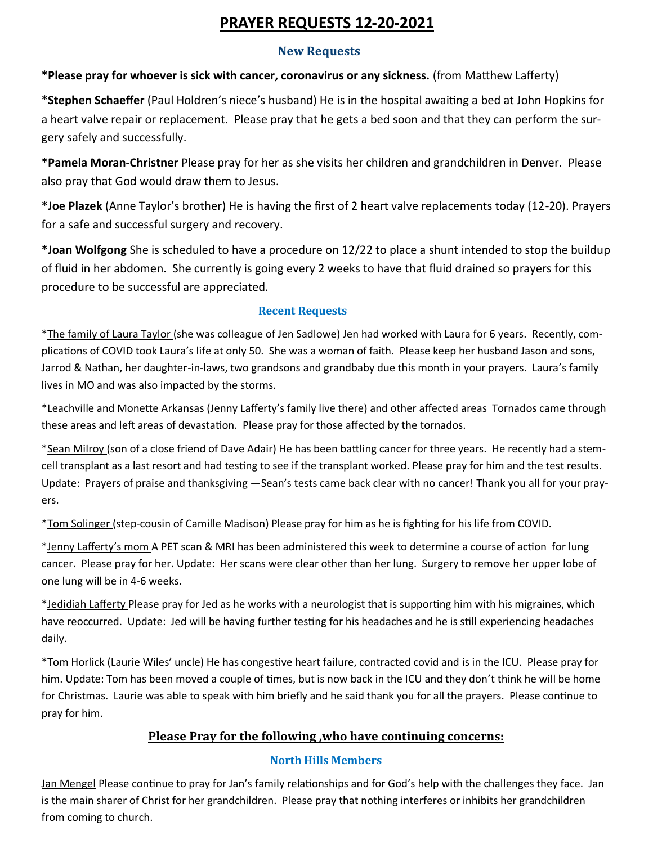# **PRAYER REQUESTS 12-20-2021**

## **New Requests**

**\*Please pray for whoever is sick with cancer, coronavirus or any sickness.** (from Matthew Lafferty)

**\*Stephen Schaeffer** (Paul Holdren's niece's husband) He is in the hospital awaiting a bed at John Hopkins for a heart valve repair or replacement. Please pray that he gets a bed soon and that they can perform the surgery safely and successfully.

**\*Pamela Moran-Christner** Please pray for her as she visits her children and grandchildren in Denver. Please also pray that God would draw them to Jesus.

**\*Joe Plazek** (Anne Taylor's brother) He is having the first of 2 heart valve replacements today (12-20). Prayers for a safe and successful surgery and recovery.

**\*Joan Wolfgong** She is scheduled to have a procedure on 12/22 to place a shunt intended to stop the buildup of fluid in her abdomen. She currently is going every 2 weeks to have that fluid drained so prayers for this procedure to be successful are appreciated.

## **Recent Requests**

\*The family of Laura Taylor (she was colleague of Jen Sadlowe) Jen had worked with Laura for 6 years. Recently, complications of COVID took Laura's life at only 50. She was a woman of faith. Please keep her husband Jason and sons, Jarrod & Nathan, her daughter-in-laws, two grandsons and grandbaby due this month in your prayers. Laura's family lives in MO and was also impacted by the storms.

\*Leachville and Monette Arkansas (Jenny Lafferty's family live there) and other affected areas Tornados came through these areas and left areas of devastation. Please pray for those affected by the tornados.

\*Sean Milroy (son of a close friend of Dave Adair) He has been battling cancer for three years. He recently had a stemcell transplant as a last resort and had testing to see if the transplant worked. Please pray for him and the test results. Update: Prayers of praise and thanksgiving —Sean's tests came back clear with no cancer! Thank you all for your prayers.

\*Tom Solinger (step-cousin of Camille Madison) Please pray for him as he is fighting for his life from COVID.

\*Jenny Lafferty's mom A PET scan & MRI has been administered this week to determine a course of action for lung cancer. Please pray for her. Update: Her scans were clear other than her lung. Surgery to remove her upper lobe of one lung will be in 4-6 weeks.

\*Jedidiah Lafferty Please pray for Jed as he works with a neurologist that is supporting him with his migraines, which have reoccurred. Update: Jed will be having further testing for his headaches and he is still experiencing headaches daily.

\*Tom Horlick (Laurie Wiles' uncle) He has congestive heart failure, contracted covid and is in the ICU. Please pray for him. Update: Tom has been moved a couple of times, but is now back in the ICU and they don't think he will be home for Christmas. Laurie was able to speak with him briefly and he said thank you for all the prayers. Please continue to pray for him.

## **Please Pray for the following ,who have continuing concerns:**

#### **North Hills Members**

Jan Mengel Please continue to pray for Jan's family relationships and for God's help with the challenges they face. Jan is the main sharer of Christ for her grandchildren. Please pray that nothing interferes or inhibits her grandchildren from coming to church.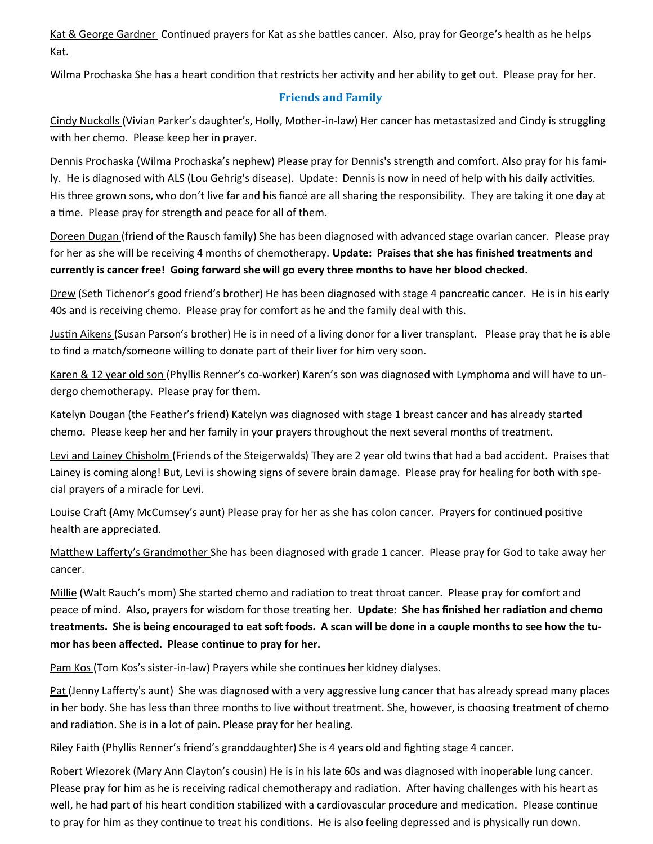Kat & George Gardner Continued prayers for Kat as she battles cancer. Also, pray for George's health as he helps Kat.

Wilma Prochaska She has a heart condition that restricts her activity and her ability to get out. Please pray for her.

## **Friends and Family**

Cindy Nuckolls (Vivian Parker's daughter's, Holly, Mother-in-law) Her cancer has metastasized and Cindy is struggling with her chemo. Please keep her in prayer.

Dennis Prochaska (Wilma Prochaska's nephew) Please pray for Dennis's strength and comfort. Also pray for his family. He is diagnosed with ALS (Lou Gehrig's disease). Update: Dennis is now in need of help with his daily activities. His three grown sons, who don't live far and his fiancé are all sharing the responsibility. They are taking it one day at a time. Please pray for strength and peace for all of them.

Doreen Dugan (friend of the Rausch family) She has been diagnosed with advanced stage ovarian cancer. Please pray for her as she will be receiving 4 months of chemotherapy. **Update: Praises that she has finished treatments and currently is cancer free! Going forward she will go every three months to have her blood checked.** 

Drew (Seth Tichenor's good friend's brother) He has been diagnosed with stage 4 pancreatic cancer. He is in his early 40s and is receiving chemo. Please pray for comfort as he and the family deal with this.

Justin Aikens (Susan Parson's brother) He is in need of a living donor for a liver transplant. Please pray that he is able to find a match/someone willing to donate part of their liver for him very soon.

Karen & 12 year old son (Phyllis Renner's co-worker) Karen's son was diagnosed with Lymphoma and will have to undergo chemotherapy. Please pray for them.

Katelyn Dougan (the Feather's friend) Katelyn was diagnosed with stage 1 breast cancer and has already started chemo. Please keep her and her family in your prayers throughout the next several months of treatment.

Levi and Lainey Chisholm (Friends of the Steigerwalds) They are 2 year old twins that had a bad accident. Praises that Lainey is coming along! But, Levi is showing signs of severe brain damage. Please pray for healing for both with special prayers of a miracle for Levi.

Louise Craft **(**Amy McCumsey's aunt) Please pray for her as she has colon cancer. Prayers for continued positive health are appreciated.

Matthew Lafferty's Grandmother She has been diagnosed with grade 1 cancer. Please pray for God to take away her cancer.

Millie (Walt Rauch's mom) She started chemo and radiation to treat throat cancer. Please pray for comfort and peace of mind. Also, prayers for wisdom for those treating her. **Update: She has finished her radiation and chemo treatments. She is being encouraged to eat soft foods. A scan will be done in a couple months to see how the tumor has been affected. Please continue to pray for her.**

Pam Kos (Tom Kos's sister-in-law) Prayers while she continues her kidney dialyses.

Pat (Jenny Lafferty's aunt) She was diagnosed with a very aggressive lung cancer that has already spread many places in her body. She has less than three months to live without treatment. She, however, is choosing treatment of chemo and radiation. She is in a lot of pain. Please pray for her healing.

Riley Faith (Phyllis Renner's friend's granddaughter) She is 4 years old and fighting stage 4 cancer.

Robert Wiezorek (Mary Ann Clayton's cousin) He is in his late 60s and was diagnosed with inoperable lung cancer. Please pray for him as he is receiving radical chemotherapy and radiation. After having challenges with his heart as well, he had part of his heart condition stabilized with a cardiovascular procedure and medication. Please continue to pray for him as they continue to treat his conditions. He is also feeling depressed and is physically run down.